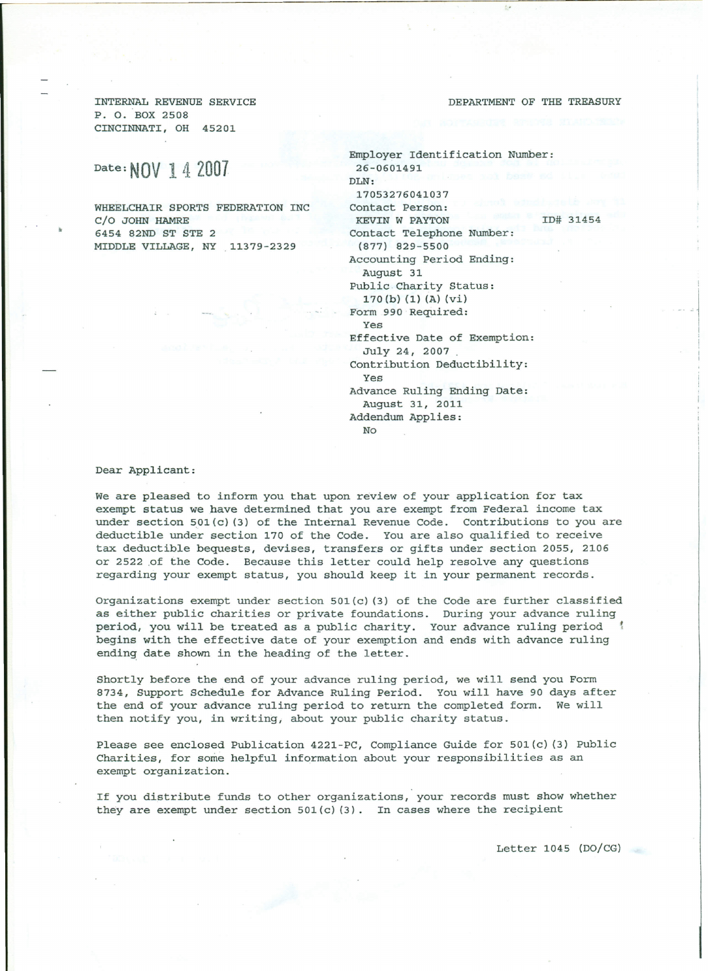INTERNAL REVENUE SERVICE P. O. BOX 2508 CINCINNATI, OH 45201

## Date: **NOV** 1 4 **2007**

WHEELCHAIR SPORTS FEDERATION INC C/O JOHN HAMRE 6454 82ND ST STE 2 MIDDLE VILLAGE, NY .11379-2329

DEPARTMENT OF THE TREASURY

Employer Identification Number: 26-0601491 DLN: 17053276041037 Contact Person: KEVIN W PAYTON ID# 31454 Contact Telephone Number: (877) 829-5500 Accounting Period Ending: August 31 Public Charity Status: 170 (b)(1)(A)(vi) Form 990 Required: Yes Effective Date of Exemption: July 24, 2007 Contribution Deductibility: Yes Advance Ruling Ending Date: August 31, 2011 Addendum Applies: No

Dear Applicant:

We are pleased to inform you that upon review of your application for tax exempt status we have determined that you are exempt from Federal income tax under section  $501(c)$  (3) of the Internal Revenue Code. Contributions to you are deductible under section 170 of the Code. You are also qualified to receive tax deductible bequests, devises, transfers or gifts under section 2055, 2106 or 2522 of the Code. Because this letter could help resolve any questions regarding your exempt status, you should keep it in your permanent records.

Organizations exempt under section  $501(c)$  (3) of the Code are further classified as either public charities or private foundations. During your advance ruling period, you will be treated as a public charity. Your advance ruling period begins with the effective date of your exemption and ends with advance ruling ending date shown in the heading of the letter.

Shortly before the end of your advance ruling period, we will send you Form 8734, Support Schedule for Advance Ruling Period. You will have 90 days after the end of your advance ruling period to return the completed form. We will then notify you, in writing, about your public charity status.

Please see enclosed Publication 4221-PC, Compliance Guide for 501(c) (3) Public Charities, for some helpful information about your responsibilities as an exempt organization.

If you distribute funds to other organizations, your records must show whether they are exempt under section  $501(c)$  (3). In cases where the recipient

Letter 1045 *(DOjCG)*